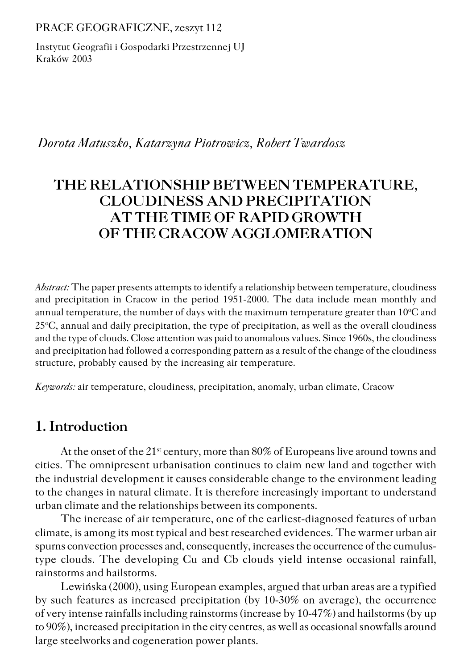PRACE GEOGRAFICZNE, zeszyt 112

Instytut Geografii i Gospodarki Przestrzennej UJ Kraków 2003

 *Dorota Matuszko, Katarzyna Piotrowicz, Robert Twardosz*

# **THE RELATIONSHIP BETWEEN TEMPERATURE, CLOUDINESS AND PRECIPITATION AT THE TIME OF RAPID GROWTH OF THE CRACOW AGGLOMERATION**

*Abstract:* The paper presents attempts to identify a relationship between temperature, cloudiness and precipitation in Cracow in the period 1951−2000. The data include mean monthly and annual temperature, the number of days with the maximum temperature greater than 10°C and 25<sup>o</sup>C, annual and daily precipitation, the type of precipitation, as well as the overall cloudiness and the type of clouds. Close attention was paid to anomalous values. Since 1960s, the cloudiness and precipitation had followed a corresponding pattern as a result of the change of the cloudiness structure, probably caused by the increasing air temperature.

*Keywords:* air temperature, cloudiness, precipitation, anomaly, urban climate, Cracow

### **1. Introduction**

At the onset of the 21<sup>st</sup> century, more than 80% of Europeans live around towns and cities. The omnipresent urbanisation continues to claim new land and together with the industrial development it causes considerable change to the environment leading to the changes in natural climate. It is therefore increasingly important to understand urban climate and the relationships between its components.

The increase of air temperature, one of the earliest−diagnosed features of urban climate, is among its most typical and best researched evidences. The warmer urban air spurns convection processes and, consequently, increases the occurrence of the cumulus– type clouds. The developing Cu and Cb clouds yield intense occasional rainfall, rainstorms and hailstorms.

Lewińska (2000), using European examples, argued that urban areas are a typified by such features as increased precipitation (by 10−30% on average), the occurrence of very intense rainfalls including rainstorms (increase by 10−47%) and hailstorms (by up to 90%), increased precipitation in the city centres, as well as occasional snowfalls around large steelworks and cogeneration power plants.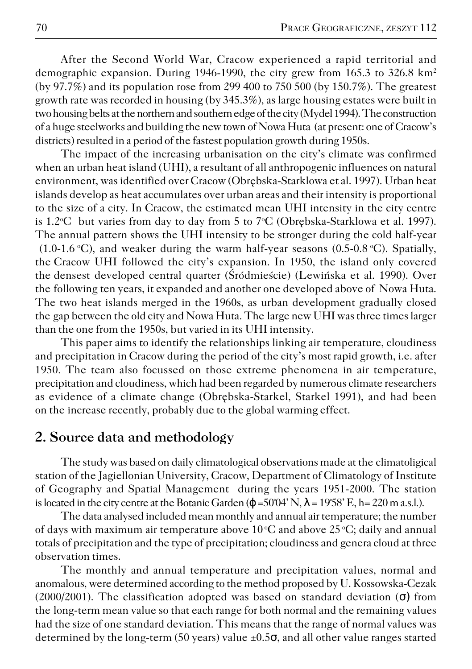After the Second World War, Cracow experienced a rapid territorial and demographic expansion. During 1946−1990, the city grew from 165.3 to 326.8 km<sup>2</sup> (by 97.7%) and its population rose from 299400 to 750 500 (by 150.7%). The greatest growth rate was recorded in housing (by 345.3%), as large housing estates were built in two housing belts at the northern and southern edge of the city (Mydel 1994). The construction of a huge steelworks and building the new town of Nowa Huta (at present: one of Cracow's districts) resulted in a period of the fastest population growth during 1950s.

The impact of the increasing urbanisation on the city's climate was confirmed when an urban heat island (UHI), a resultant of all anthropogenic influences on natural environment, was identified over Cracow (Obrębska−Starklowa et al. 1997). Urban heat islands develop as heat accumulates over urban areas and their intensity is proportional to the size of a city. In Cracow, the estimated mean UHI intensity in the city centre is 1.2°C but varies from day to day from 5 to 7°C (Obrębska-Starklowa et al. 1997). The annual pattern shows the UHI intensity to be stronger during the cold half-year (1.0−1.6 oC), and weaker during the warm half−year seasons (0.5−0.8 oC). Spatially, theCracow UHI followed the city's expansion. In 1950, the island only covered the densest developed central quarter (Śródmieście) (Lewińska et al. 1990). Over the following ten years, it expanded and another one developed above of Nowa Huta. The two heat islands merged in the 1960s, as urban development gradually closed the gap between the old city and Nowa Huta. The large new UHI was three times larger than the one from the 1950s, but varied in its UHI intensity.

This paper aims to identify the relationships linking air temperature, cloudiness and precipitation in Cracow during the period of the city's most rapid growth, i.e. after 1950. The team also focussed on those extreme phenomena in air temperature, precipitation and cloudiness, which had been regarded by numerous climate researchers as evidence of a climate change (Obrębska−Starkel, Starkel 1991), and had been on the increase recently, probably due to the global warming effect.

### **2. Source data and methodology**

The study was based on daily climatological observations made at the climatoligical station of the Jagiellonian University, Cracow, Department of Climatology of Institute of Geography and Spatial Management during the years 1951−2000. The station is located in the city centre at the Botanic Garden ( $\varphi$  =50°04' N,  $\lambda$  = 19°58' E, h = 220 m a.s.l.).

The data analysed included mean monthly and annual air temperature; the number of days with maximum air temperature above  $10^{\circ}$ C and above  $25^{\circ}$ C; daily and annual totals of precipitation and the type of precipitation; cloudiness and genera cloud at three observation times.

The monthly and annual temperature and precipitation values, normal and anomalous, were determined according to the method proposed by U. Kossowska−Cezak (2000/2001). The classification adopted was based on standard deviation  $(\sigma)$  from the long-term mean value so that each range for both normal and the remaining values had the size of one standard deviation. This means that the range of normal values was determined by the long−term (50 years) value ±0.5σ, and all other value ranges started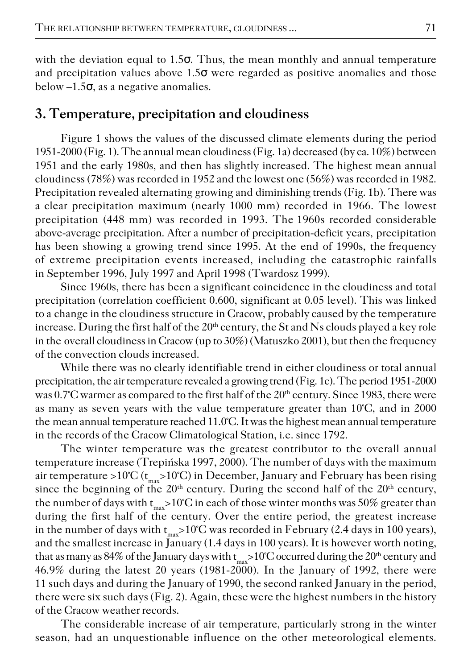with the deviation equal to 1.5σ. Thus, the mean monthly and annual temperature and precipitation values above  $1.5\sigma$  were regarded as positive anomalies and those below  $-1.5\sigma$ , as a negative anomalies.

## **3. Temperature, precipitation and cloudiness**

Figure 1 shows the values of the discussed climate elements during the period 1951−2000 (Fig. 1). The annual mean cloudiness (Fig. 1a) decreased (by ca. 10%) between 1951 and the early 1980s, and then has slightly increased. The highest mean annual cloudiness (78%) was recorded in 1952 and the lowest one (56%) was recorded in 1982. Precipitation revealed alternating growing and diminishing trends (Fig. 1b). There was a clear precipitation maximum (nearly 1000 mm) recorded in 1966. The lowest precipitation (448 mm) was recorded in 1993. The 1960s recorded considerable above-average precipitation. After a number of precipitation-deficit years, precipitation has been showing a growing trend since 1995. At the end of 1990s, the frequency of extreme precipitation events increased, including the catastrophic rainfalls in September 1996, July 1997 and April 1998 (Twardosz 1999).

Since 1960s, there has been a significant coincidence in the cloudiness and total precipitation (correlation coefficient 0.600, significant at 0.05 level). This was linked to achange in the cloudiness structure in Cracow, probably caused by the temperature increase. During the first half of the 20<sup>th</sup> century, the St and Ns clouds played a key role in the overall cloudiness in Cracow (up to  $30\%$ ) (Matuszko 2001), but then the frequency of the convection clouds increased.

While there was no clearly identifiable trend in either cloudiness or total annual precipitation, the air temperature revealed a growing trend (Fig. 1c). The period 1951−2000 was 0.7°C warmer as compared to the first half of the 20<sup>th</sup> century. Since 1983, there were as many as seven years with the value temperature greater than 10°C, and in 2000 the mean annual temperature reached 11.0°C. It was the highest mean annual temperature in the records of the Cracow Climatological Station, i.e. since 1792.

The winter temperature was the greatest contributor to the overall annual temperature increase (Trepińska 1997, 2000). The number of days with the maximum air temperature >10°C ( $\rm t_{max}$ >10°C) in December, January and February has been rising since the beginning of the  $20<sup>th</sup>$  century. During the second half of the  $20<sup>th</sup>$  century, the number of days with  $\rm t_{max}$ >10°C in each of those winter months was 50% greater than during the first half of the century. Over the entire period, the greatest increase in the number of days with  $t_{max}$ >10°C was recorded in February (2.4 days in 100 years), and the smallest increase in January (1.4 days in 100 years). It is however worth noting, that as many as 84% of the January days with  ${\rm t_{max}}$ >10°C occurred during the 20<sup>th</sup> century and 46.9% during the latest 20 years (1981−2000). In the January of 1992, there were 11 such days and during the January of 1990, the second ranked January in the period, there were six such days (Fig. 2). Again, these were the highest numbers in the history of the Cracow weather records.

The considerable increase of air temperature, particularly strong in the winter season, had an unquestionable influence on the other meteorological elements.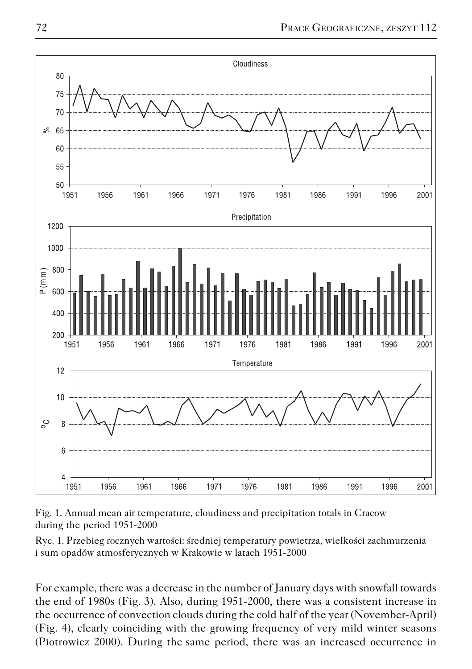

Fig. 1. Annual mean air temperature, cloudiness and precipitation totals in Cracow during the period 1951−2000

Ryc. 1. Przebieg rocznych wartości: średniej temperatury powietrza, wielkości zachmurzenia i sum opadów atmosferycznych w Krakowie w latach 1951−2000

For example, there was a decrease in the number of January days with snowfall towards the end of 1980s (Fig. 3). Also, during 1951-2000, there was a consistent increase in the occurrence of convection clouds during the cold half of the year (November-April) (Fig. 4), clearly coinciding with the growing frequency of very mild winter seasons (Piotrowicz 2000). During thesame period, there was an increased occurrence in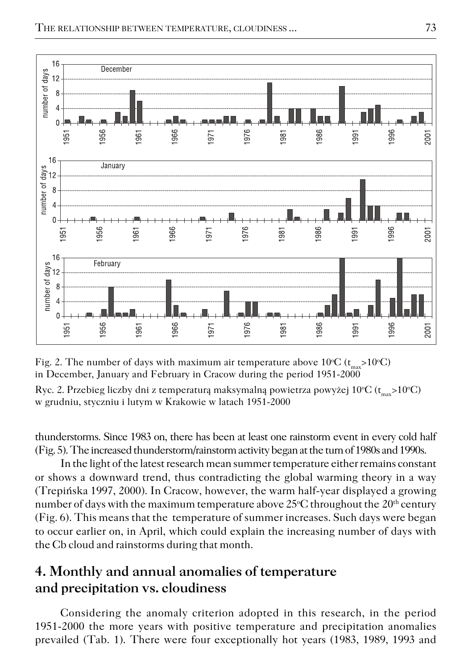

Fig. 2. The number of days with maximum air temperature above  $10^{\circ}C$  ( $t_{max}$ >10°C) in December, January and February in Cracow during the period 1951−2000

Ryc. 2. Przebieg liczby dni z temperaturą maksymalną powietrza powyżej 10°C ( $\rm t_{max}{>}10^{\circ}C$ ) w grudniu, styczniu i lutym w Krakowie w latach 1951−2000

thunderstorms. Since 1983 on, there has been at least one rainstorm event in every cold half (Fig. 5). The increased thunderstorm/rainstorm activity began at the turn of 1980s and 1990s.

In the light of the latest research mean summer temperature either remains constant or shows a downward trend, thus contradicting the global warming theory in a way (Trepińska 1997, 2000). In Cracow, however, the warm half−year displayed a growing number of days with the maximum temperature above  $25^{\circ}$ C throughout the  $20^{th}$  century (Fig. 6). This means that the temperature of summer increases. Such days were began to occur earlier on, in April, which could explain the increasing number of days with the Cb cloud and rainstorms during that month.

## **4. Monthly and annual anomalies of temperature and precipitation vs. cloudiness**

Considering the anomaly criterion adopted in this research, in the period 1951−2000 the more years with positive temperature and precipitation anomalies prevailed (Tab. 1). There were four exceptionally hot years (1983, 1989, 1993 and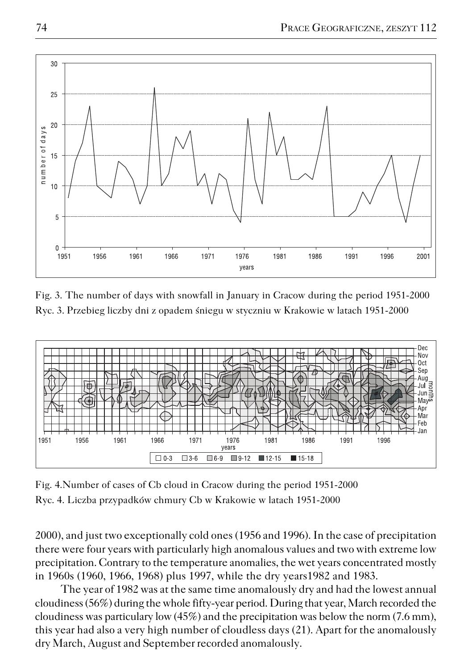

Fig. 3. The number of days with snowfall in January in Cracow during the period 1951−2000 Ryc. 3. Przebieg liczby dni z opadem śniegu w styczniu w Krakowie w latach 1951−2000



Fig. 4.Number of cases of Cb cloud in Cracow during the period 1951−2000 Ryc. 4. Liczba przypadków chmury Cb w Krakowie w latach 1951−2000

2000), and just two exceptionally cold ones (1956 and 1996). In the case of precipitation there were four years with particularly high anomalous values and two with extreme low precipitation. Contrary to the temperature anomalies, the wet years concentrated mostly in 1960s (1960, 1966, 1968) plus 1997, while the dry years1982 and 1983.

The year of 1982 was at the same time anomalously dry and had the lowest annual cloudiness (56%) during the whole fifty−year period. During that year, March recorded the cloudiness was particulary low (45%) and the precipitation was below the norm (7.6 mm), this year had also a very high number of cloudless days (21). Apart for the anomalously dry March, August and September recorded anomalously.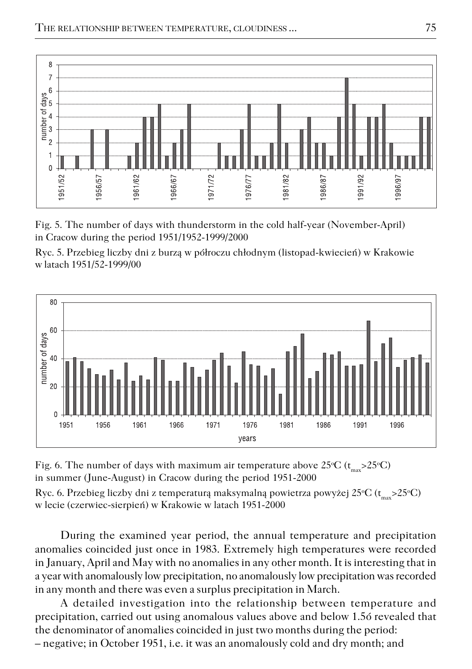

Fig. 5. The number of days with thunderstorm in the cold half−year (November−April) in Cracow during the period 1951/1952−1999/2000

Ryc. 5. Przebieg liczby dni z burzą w półroczu chłodnym (listopad−kwiecień) w Krakowie w latach 1951/52−1999/00



Fig. 6. The number of days with maximum air temperature above  $25^{\circ}C$  ( $t_{max} > 25^{\circ}C$ ) in summer (June−August) in Cracow during the period 1951−2000

Ryc. 6. Przebieg liczby dni z temperaturą maksymalną powietrza powyżej 25°C ( $\rm t_{max}{>}25^{\circ}C$ ) w lecie (czerwiec−sierpień) w Krakowie w latach 1951−2000

During the examined year period, the annual temperature and precipitation anomalies coincided just once in 1983. Extremely high temperatures were recorded in January, April and May with no anomalies in any other month. It is interesting that in a year with anomalously low precipitation, no anomalously low precipitation was recorded in any month and there was even a surplus precipitation in March.

A detailed investigation into the relationship between temperature and precipitation, carried out using anomalous values above and below 1.5ó revealed that the denominator of anomalies coincided in just two months during the period:

– negative; in October 1951, i.e. it was an anomalously cold and dry month; and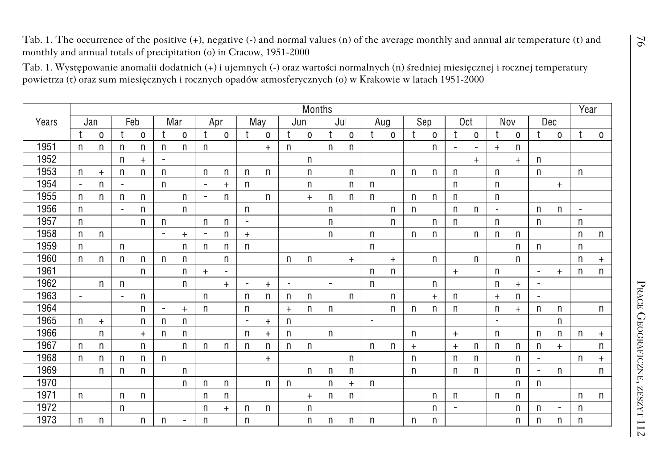|       |                |              |                |              |                |              |                |                  |                |             |                                  |              |              |           |                |              | powietrza (t) oraz sum miesięcznych i rocznych opadów atmosferycznych (o) w Krakowie w latach 1951-2000 |              | Tab. 1. Występowanie anomalii dodatnich (+) i ujemnych (-) oraz wartości normalnych (n) średniej miesięcznej i rocznej temperatury |              |                      |              |                |                |                |           |
|-------|----------------|--------------|----------------|--------------|----------------|--------------|----------------|------------------|----------------|-------------|----------------------------------|--------------|--------------|-----------|----------------|--------------|---------------------------------------------------------------------------------------------------------|--------------|------------------------------------------------------------------------------------------------------------------------------------|--------------|----------------------|--------------|----------------|----------------|----------------|-----------|
|       |                | Months       |                |              |                |              |                |                  |                |             |                                  |              |              |           |                |              |                                                                                                         | Year         |                                                                                                                                    |              |                      |              |                |                |                |           |
| Years |                | Jan          |                | Feb          |                | Mar          |                | Apr              |                | May         |                                  | Jun          | Jul          |           | Aug            |              | Sep                                                                                                     |              | 0 <sub>ct</sub>                                                                                                                    |              | Nov                  |              | Dec            |                |                |           |
|       |                | 0            | t              | $\mathbf 0$  | t              | $\mathbf 0$  | t              | $\boldsymbol{0}$ |                | $\mathbf 0$ |                                  | $\mathsf 0$  | $\mathbf t$  | 0         |                | $\mathbf 0$  | ÷                                                                                                       | 0            | t                                                                                                                                  | $\mathbf 0$  |                      | 0            |                | 0              |                | 0         |
| 1951  | $\mathsf{n}$   | $\mathsf{n}$ | $\mathsf{n}$   | $\mathsf{n}$ | $\mathsf{n}$   | $\mathsf{n}$ | $\mathsf{n}$   |                  |                | $\ddot{}$   | $\mathsf{n}$                     |              | $\mathsf{n}$ | n         |                |              |                                                                                                         | $\mathsf{n}$ | ä,                                                                                                                                 | ä,           | $\ddot{}$            | n            |                |                |                |           |
| 1952  |                |              | n              | $\ddot{}$    |                |              |                |                  |                |             |                                  | n            |              |           |                |              |                                                                                                         |              |                                                                                                                                    | $+$          |                      | $\ddot{}$    | $\mathsf{n}$   |                |                |           |
| 1953  | n              | $\ddot{}$    | n              | n            | $\mathsf{n}$   |              | n              | n                | n              | n           |                                  | n            |              | n         |                | n            | n                                                                                                       | $\mathsf{n}$ | n                                                                                                                                  |              | n                    |              | $\mathsf{n}$   |                | n              |           |
| 1954  | ä,             | $\mathsf{n}$ | $\blacksquare$ |              | $\mathsf{n}$   |              | $\blacksquare$ | $\ddot{}$        | $\mathsf{n}$   |             |                                  | n            |              | n         | $\mathsf{n}$   |              |                                                                                                         |              | $\mathsf{n}$                                                                                                                       |              | $\mathsf{n}$         |              |                | $\ddot{}$      |                |           |
| 1955  | $\mathsf{n}$   | n.           | $\mathsf{n}$   | $\mathsf{n}$ |                | $\mathsf{n}$ | $\blacksquare$ | $\mathsf{n}$     |                | n           |                                  | $\ddot{}$    | n            | n         | $\mathsf{n}$   |              | n.                                                                                                      | $\mathsf{n}$ | $\mathsf{n}$                                                                                                                       |              | n                    |              |                |                |                |           |
| 1956  | n              |              | $\blacksquare$ | n            |                | n            |                |                  | n              |             |                                  |              | n            |           |                | n            | n                                                                                                       |              | n                                                                                                                                  | n            | $\blacksquare$       |              | n              | n              | $\blacksquare$ |           |
| 1957  | $\mathsf{n}$   |              |                | n            | $\mathsf{n}$   |              | $\mathsf{n}$   | $\mathsf{n}$     | $\blacksquare$ |             |                                  |              | n            |           |                | $\mathsf{n}$ |                                                                                                         | $\mathsf{n}$ | $\mathsf{n}$                                                                                                                       |              | n                    |              | $\mathsf{n}$   |                | $\mathsf{n}$   |           |
| 1958  | $\mathsf{n}$   | n            |                |              |                | $\ddot{}$    |                | $\mathsf{n}$     | $\ddot{}$      |             |                                  |              | n            |           | $\mathsf{n}$   |              | n                                                                                                       | $\mathsf{n}$ |                                                                                                                                    | $\mathsf{n}$ | $\mathsf{n}$         | $\mathsf{n}$ |                |                | $\mathsf{n}$   | n         |
| 1959  | $\mathsf{n}$   |              | $\mathsf{n}$   |              |                | n            | $\mathsf{n}$   | n                | n              |             |                                  |              |              |           | n              |              |                                                                                                         |              |                                                                                                                                    |              |                      | n            | $\mathsf{n}$   |                | n              |           |
| 1960  | $\mathsf{n}$   | n            | $\mathsf{n}$   | $\mathsf{n}$ | $\mathsf{n}$   | $\mathsf{n}$ |                | $\mathsf{n}$     |                |             | n                                | n            |              | $+$       |                | $+$          |                                                                                                         | n            |                                                                                                                                    | $\mathsf{n}$ |                      | $\mathsf{n}$ |                |                | $\mathsf{n}$   | $\ddot{}$ |
| 1961  |                |              |                | $\mathsf{n}$ |                | n            | $\ddot{+}$     |                  |                |             |                                  |              |              |           | n              | n            |                                                                                                         |              | $+$                                                                                                                                |              | $\mathsf{n}$         |              | $\blacksquare$ | $\ddot{}$      | $\mathsf{n}$   | n         |
| 1962  |                | n            | $\mathsf{n}$   |              |                | n            |                | $+$              |                | $\ddot{}$   |                                  |              |              |           | n              |              |                                                                                                         | n            |                                                                                                                                    |              | n                    | $+$          |                |                |                |           |
| 1963  | $\blacksquare$ |              | $\sim$         | n            |                |              | $\mathsf{n}$   |                  | n              | n           | n                                | n            |              | n         |                | n            |                                                                                                         | $\ddot{+}$   | n                                                                                                                                  |              | $\ddot{\phantom{1}}$ | n            | $\alpha$       |                |                |           |
| 1964  |                |              |                | $\mathsf{n}$ | $\blacksquare$ | $\ddot{}$    | $\mathsf{n}$   |                  | $\mathsf{n}$   |             | $\begin{array}{c} + \end{array}$ | n.           | n            |           |                | $\mathsf{n}$ | n                                                                                                       | $\mathsf{n}$ | n                                                                                                                                  |              | n                    | $\ddot{}$    | $\mathsf{n}$   | n              |                | n         |
| 1965  | n              | $+$          |                | n            | $\mathsf{n}$   | n            |                |                  |                | $\ddot{}$   | n                                |              |              |           | $\blacksquare$ |              |                                                                                                         |              |                                                                                                                                    |              |                      |              |                | n              |                |           |
| 1966  |                | n            |                | $^{+}$       | $\mathsf{n}$   | n            |                |                  | n              | $\ddot{}$   | n                                |              | n            |           |                |              | n                                                                                                       |              | $+$                                                                                                                                |              | n                    |              | $\mathsf{n}$   | n              | n              | $\ddot{}$ |
| 1967  | $\mathsf{n}$   | n            |                | $\mathsf{n}$ |                | $\mathsf{n}$ | $\mathsf{n}$   | $\mathsf{n}$     | $\mathsf{n}$   | $\sf n$     | n                                | $\mathsf{n}$ |              |           | n              | $\mathsf{n}$ | $\ddot{}$                                                                                               |              | $\ddot{}$                                                                                                                          | $\mathsf{n}$ | $\mathsf{n}$         | $\mathsf{n}$ | $\mathsf{n}$   | $+$            |                | n         |
| 1968  | $\mathsf{n}$   | n            | $\mathsf{n}$   | n            | $\mathsf{n}$   |              |                |                  |                | $\ddot{}$   |                                  |              |              | n         |                |              | n                                                                                                       |              | n                                                                                                                                  | n            |                      | n            |                |                | $\mathsf{n}$   |           |
| 1969  |                | n.           | $\mathsf{n}$   | n            |                | n            |                |                  |                |             |                                  | $\mathsf{n}$ | n            | n         |                |              | n                                                                                                       |              | n                                                                                                                                  | n            |                      | n            | $\sim$         | n              |                | n         |
| 1970  |                |              |                |              |                | n            | $\mathsf{n}$   | $\mathsf{n}$     |                | n           | n                                |              | n            | $\ddot{}$ | n              |              |                                                                                                         |              |                                                                                                                                    |              |                      | $\mathsf{n}$ | $\mathsf{n}$   |                |                |           |
| 1971  | n              |              | $\mathsf{n}$   | n            |                |              | n              | n                |                |             |                                  | $+$          | n            | n         |                |              |                                                                                                         | n            | n                                                                                                                                  |              | n                    | n            |                |                | n              | n         |
| 1972  |                |              | $\mathsf{n}$   |              |                |              | $\mathsf{n}$   | $^{+}$           | $\mathsf{n}$   | n           |                                  | n            |              |           |                |              |                                                                                                         | $\mathsf{n}$ | $\sim$                                                                                                                             |              |                      | n            | $\mathsf{n}$   | $\blacksquare$ | $\mathsf{n}$   |           |
| 1973  | n              | $\mathsf{n}$ |                | n            | $\mathsf{n}$   | ä,           | $\mathsf{n}$   |                  | n              |             |                                  | n            | n            | n         | n              |              | n                                                                                                       | $\mathsf{n}$ |                                                                                                                                    |              |                      | n            | $\mathsf{n}$   | n              | n              |           |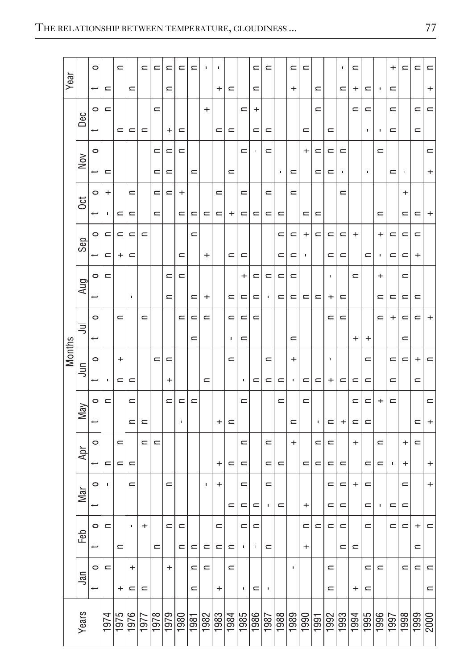| Year          |  |           | $\circ$                  |                   | $\equiv$  |                | $\equiv$ | ⊂        | ⋍            | $\mathbf{r}$ | $\mathbf{r}$ | п         | ×         |                |                | $\mathbf{r}$ | $\equiv$       |                | $\equiv$ | $\mathbf{r}$ |                |                     | ı              | $\mathbf{r}$ |                |                     | $\ddot{}$      | $\equiv$  | $\equiv$       | $\equiv$                 |
|---------------|--|-----------|--------------------------|-------------------|-----------|----------------|----------|----------|--------------|--------------|--------------|-----------|-----------|----------------|----------------|--------------|----------------|----------------|----------|--------------|----------------|---------------------|----------------|--------------|----------------|---------------------|----------------|-----------|----------------|--------------------------|
|               |  |           | ÷                        | $\equiv$          |           | $\equiv$       |          |          | $\equiv$     |              |              |           | $\,{}^+$  | $\equiv$       |                | $\equiv$     |                |                | $\, +$   |              | $\equiv$       |                     | $\equiv$       | +            | $\equiv$       |                     | $\equiv$       |           |                | $\ddot{}$                |
| <b>Months</b> |  | Dec       | $\circ$                  | $\equiv$          |           |                |          | $\equiv$ |              |              |              | $^{+}$    |           |                | $\equiv$       | $^{+}$       |                |                |          |              | $\equiv$       |                     |                | $\equiv$     | $\blacksquare$ |                     | $\equiv$       |           | $\blacksquare$ | $\equiv$                 |
|               |  |           | +                        |                   | $\equiv$  | $\equiv$       | $\equiv$ |          | +            | $\equiv$     |              |           | $\equiv$  | $\equiv$       |                | ⋍            | $\equiv$       |                |          | ⋍            |                | $\equiv$            |                |              | ٠              | л                   | $\equiv$       |           | $\equiv$       |                          |
|               |  | Nov       | $\circ$                  |                   |           |                |          | $\Box$   | $\equiv$     | $\equiv$     |              |           |           |                | $\equiv$       |              | $\equiv$       |                |          | $\ddot{}$    | $\Box$         | ⋍                   | $\equiv$       |              |                | $\equiv$            |                |           |                | $\equiv$                 |
|               |  |           | ÷                        | $\equiv$          |           |                |          | $\equiv$ | $\equiv$     |              | $\equiv$     |           |           | $\equiv$       |                |              |                | $\blacksquare$ | $\equiv$ |              | $\equiv$       | $\equiv$            | $\blacksquare$ |              | $\blacksquare$ |                     | $\equiv$       | g,        |                | +                        |
|               |  | <b>SC</b> | $\circ$                  | +                 |           | $\equiv$       |          | $\equiv$ | $\equiv$     | $\mathrm{+}$ |              |           | $\equiv$  |                | $\equiv$       |              | $\equiv$       |                | $\equiv$ |              |                |                     | $\equiv$       |              |                |                     |                | $^{+}$    |                |                          |
|               |  |           | ÷                        | $\blacksquare$    | $\equiv$  | $\equiv$       |          | $\equiv$ |              | $\equiv$     | $\equiv$     | $\equiv$  | $\equiv$  | $\ddot{}$      | $\equiv$       | $\equiv$     | $\equiv$       | $\equiv$       |          | $\equiv$     | $\equiv$       |                     |                |              |                | $\equiv$            |                | $\equiv$  | $\equiv$       | $\ddot{}$                |
|               |  |           | $\circ$                  | ⋍                 | $\equiv$  | $\equiv$       | $\equiv$ |          |              |              | $\equiv$     |           |           |                |                |              |                | ⋍              | $\equiv$ | $\ddot{}$    | $\equiv$       | ⋍                   | $\equiv$       | $\ddot{}$    |                | $\ddot{}$           | $\equiv$       | $\equiv$  | $\equiv$       |                          |
|               |  | Sep       |                          | $\mathbf{r}$      | $\div$    | $\equiv$       |          |          |              | $\equiv$     |              | $\ddot{}$ |           | $\equiv$       | $\equiv$       |              |                | $\mathbf{r}$   | $\equiv$ | ı            |                | $\equiv$            | $\equiv$       |              | $\equiv$       | p                   | $\equiv$       | $\equiv$  | $\ddot{}$      |                          |
|               |  |           | $\circ$                  | $\equiv$          |           |                |          |          | $\equiv$     | $\equiv$     |              |           |           |                | $\,{}^+$       | $\equiv$     | $\equiv$       | $\equiv$       | $\equiv$ |              |                | ı                   |                | $\equiv$     |                | $^{+}$              |                | $\equiv$  |                |                          |
|               |  | Aug       | ÷                        |                   |           | $\blacksquare$ |          |          | $\equiv$     |              | $\equiv$     | $\ddot{}$ |           | $\subset$      | $\equiv$       | $\mathbf{r}$ | $\blacksquare$ | $\mathbf{r}$   | $\equiv$ | $\mathbf{r}$ | $\equiv$       | $^{+}$              | $\subset$      |              |                | $\equiv$            | $\mathbf{r}$   | $\equiv$  | $\equiv$       |                          |
|               |  | 弖         | $\circ$                  |                   | $\equiv$  |                | $\equiv$ |          |              | $\equiv$     | $\equiv$     | $\equiv$  |           | $\equiv$       | $\equiv$       | $\equiv$     |                |                |          |              |                | $\equiv$            | $\equiv$       |              |                | $\equiv$            | +              | $\equiv$  | $\equiv$       | +                        |
|               |  |           | ÷                        |                   |           |                |          |          |              |              | $\equiv$     |           |           | $\blacksquare$ | $\equiv$       |              |                |                | $\equiv$ |              |                |                     |                | $^{+}$       | $^{+}$         |                     |                | $\equiv$  |                |                          |
|               |  | lij       | $\circ$                  |                   | $\ddot{}$ |                |          | $\equiv$ | $\equiv$     |              |              |           |           | $\equiv$       |                |              | $\equiv$       |                | $^{+}$   |              |                | ٠                   |                |              | $\equiv$       |                     | $\equiv$       | $\equiv$  | +              | $\equiv$                 |
|               |  |           | +                        | ×                 | $\equiv$  | $\equiv$       |          |          | $\ddot{}$    |              |              | $\subset$ |           |                | $\blacksquare$ | $\equiv$     | $\equiv$       | $\equiv$       | ×        | ⋍            | $\equiv$       | $\ddot{}$           | $\equiv$       | $\equiv$     | $\equiv$       |                     | $\equiv$       |           | $\equiv$       |                          |
|               |  | May       | $\circ$                  | $\mathbf{\Omega}$ |           | $\equiv$       |          |          | $\mathbf{r}$ | $\equiv$     | $\equiv$     |           |           |                | $\equiv$       |              |                | $\mathbf{r}$   |          | $\equiv$     |                |                     |                | $\equiv$     | $\equiv$       | +                   | $\equiv$       |           |                | $\equiv$                 |
|               |  |           | t                        |                   |           | $\equiv$       | $\equiv$ |          |              | ٠            |              |           | $\ddot{}$ | $\equiv$       |                |              |                |                | $\equiv$ |              | $\blacksquare$ | $\equiv$            | $^{+}$         | $\equiv$     | $\equiv$       |                     |                |           | $\equiv$       | $\overline{\phantom{a}}$ |
|               |  |           | $\circ$                  |                   | $\equiv$  |                | $\equiv$ | $\equiv$ |              |              |              |           |           |                | $\equiv$       |              | $\equiv$       |                | $^{+}$   |              | $\equiv$       | ⋍                   |                | $\mathrm{+}$ |                | $\equiv$            |                | $\ddot{}$ | $\equiv$       |                          |
|               |  | Apr       | ÷                        | $\equiv$          | $\equiv$  | $\equiv$       |          |          |              |              |              |           | $^{+}$    | $\equiv$       | $\equiv$       |              | $\equiv$       | $\equiv$       |          | $\equiv$     | $\equiv$       | $\equiv$            | $\equiv$       |              | $\equiv$       | $\equiv$            | $\blacksquare$ | $\ddot{}$ |                | $^{+}$                   |
|               |  |           | $\circ$                  |                   |           | $\equiv$       |          |          | $\equiv$     |              |              | f,        | +         |                | $\equiv$       |              | $\equiv$       |                |          |              |                | $\equiv$            | $\mathbf{r}$   | +            | $\equiv$       |                     |                | $\equiv$  |                | $^{+}$                   |
|               |  | Mar       | ÷                        |                   |           |                |          |          |              |              |              |           |           | $\equiv$       | $\equiv$       | $\equiv$     | $\blacksquare$ | $\equiv$       |          | $^{+}$       |                | $\equiv$            | $\equiv$       |              | $\equiv$       | $\blacksquare$      | $\equiv$       | $\equiv$  |                |                          |
|               |  |           | $\circ$                  | $\equiv$          |           | $\blacksquare$ | $^{+}$   |          | $\equiv$     | $\equiv$     |              |           | $\equiv$  |                | $\equiv$       | $\equiv$     |                |                |          | ⋍            | ⋍              | ⋍                   | ⊂              |              | $\equiv$       |                     | $\equiv$       | $\equiv$  | +              | $\equiv$                 |
|               |  | Feb       | ÷                        |                   | $\equiv$  |                |          | $\equiv$ |              | $\equiv$     | $\equiv$     | $\equiv$  | $\equiv$  | $\equiv$       | $\blacksquare$ |              | $\equiv$       |                |          | +            |                |                     | $\equiv$       | $\equiv$     |                |                     |                |           | $\equiv$       |                          |
|               |  |           | $\circ$                  | $\equiv$          |           | $^{+}$         |          |          | $\pmb{+}$    |              | $\equiv$     | $\equiv$  |           | $\equiv$       |                |              |                |                |          |              |                | $\equiv$            |                |              | $\equiv$       | $\equiv$            |                | $\equiv$  | $\equiv$       | $\equiv$                 |
|               |  | Ξã        | $\overline{\phantom{0}}$ |                   | $\ddot{}$ | $\equiv$       | $\equiv$ |          |              |              | $\equiv$     |           | $\ddot{}$ |                | $\blacksquare$ | $\equiv$     | ×              |                |          |              |                | $\equiv$            |                | $\ddot{}$    | $\equiv$       |                     |                |           |                | $\equiv$                 |
|               |  |           |                          |                   |           |                |          |          |              |              |              |           |           |                |                |              |                |                |          |              |                |                     |                |              |                |                     |                |           |                |                          |
|               |  | Years     |                          | 1974              | 1975      | 1976           | 1977     | 1978     | 1979<br>0861 |              | 1981         | 1982      | 1983      | 1984           | 1985           | 1986         | 1987           | 1988           | 1989     | 1990         | 1991           | $\frac{1992}{1993}$ |                | 1994         | 1995           | $\frac{1861}{9661}$ |                | 1998      | 1999           | 2000                     |
|               |  |           |                          |                   |           |                |          |          |              |              |              |           |           |                |                |              |                |                |          |              |                |                     |                |              |                |                     |                |           |                |                          |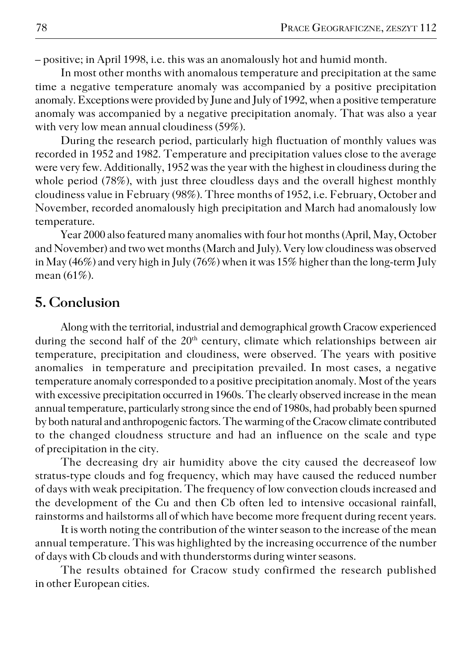– positive; in April 1998, i.e. this was an anomalously hot and humid month.

In most other months with anomalous temperature and precipitation at the same time a negative temperature anomaly was accompanied by a positive precipitation anomaly. Exceptions were provided by June and July of 1992, when a positive temperature anomaly was accompanied by a negative precipitation anomaly. That was also a year with very low mean annual cloudiness (59%).

During the research period, particularly high fluctuation of monthly values was recorded in 1952 and 1982. Temperature and precipitation values close to the average were very few. Additionally, 1952 was the year with the highest in cloudiness during the whole period (78%), with just three cloudless days and the overall highest monthly cloudiness value in February (98%). Three months of 1952, i.e. February, October and November, recorded anomalously high precipitation and March had anomalously low temperature.

Year 2000 also featured many anomalies with four hot months (April, May, October and November) and two wet months (March and July). Very low cloudiness was observed in May (46%) and very high in July (76%) when it was 15% higher than the long−term July mean (61%).

## **5. Conclusion**

Along with the territorial, industrial and demographical growth Cracow experienced during the second half of the  $20<sup>th</sup>$  century, climate which relationships between air temperature, precipitation and cloudiness, were observed. The years with positive anomalies in temperature and precipitation prevailed. In most cases, a negative temperature anomaly corresponded to a positive precipitation anomaly. Most of the years with excessive precipitation occurred in 1960s. The clearly observed increase in the mean annual temperature, particularly strong since the end of 1980s, had probably been spurned by both natural and anthropogenic factors. The warming of the Cracow climate contributed to the changed cloudness structure and had an influence on the scale and type of precipitation in the city.

The decreasing dry air humidity above the city caused the decreaseof low stratus−type clouds and fog frequency, which may have caused the reduced number of days with weak precipitation. The frequency of low convection clouds increased and the development of the Cu and then Cb often led to intensive occasional rainfall, rainstorms and hailstorms all of which have become more frequent during recent years.

It is worth noting the contribution of the winter season to the increase of the mean annual temperature. This was highlighted by the increasing occurrence of the number of days with Cb clouds and with thunderstorms during winter seasons.

The results obtained for Cracow study confirmed the research published in other European cities.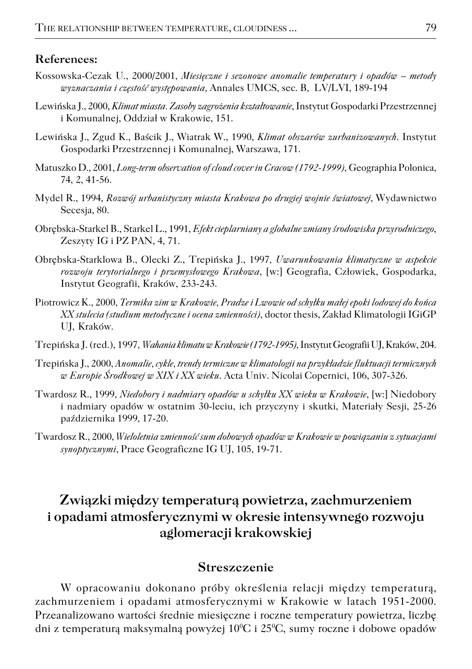#### **References:**

- Kossowska−Cezak U., 2000/2001, *Miesięczne i sezonowe anomalie temperatury i opadów metody wyznaczania i częstość występowania,* Annales UMCS, sec. B, LV/LVI, 189−194
- Lewińska J., 2000, *Klimat miasta. Zasoby zagrożenia kształtowanie*, Instytut Gospodarki Przestrzennej i Komunalnej, Oddział w Krakowie, 151.
- Lewińska J., Zgud K., Baścik J., Wiatrak W., 1990, *Klimat obszarów zurbanizowanych*. Instytut Gospodarki Przestrzennej i Komunalnej, Warszawa, 171.
- Matuszko D., 2001, *Long−term observation of cloud cover in Cracow (1792−1999)*, Geographia Polonica, 74, 2, 41−56.
- Mydel R., 1994, *Rozwój urbanistyczny miasta Krakowa po drugiej wojnie światowej*, Wydawnictwo Secesia, 80.
- Obrębska−Starkel B., Starkel L., 1991, *Efekt cieplarniany a globalne zmiany środowiska przyrodniczego*, Zeszyty IG i PZ PAN, 4, 71.
- Obrębska−Starklowa B., Olecki Z., Trepińska J., 1997*, Uwarunkowania klimatyczne w aspekcie rozwoju terytorialnego i przemysłowego Krakowa*, [w:] Geografia, Człowiek, Gospodarka, Instytut Geografii, Kraków, 233−243.
- Piotrowicz K., 2000, *Termika zim w Krakowie, Pradze i Lwowie od schyłku małej epoki lodowej do końca XX stulecia (studium metodyczne i ocena zmienności)*, doctor thesis, Zakład Klimatologii IGiGP UJ, Kraków.
- Trepińska J. (red.), 1997*, Wahania klimatu w Krakowie (1792−1995),* Instytut Geografii UJ, Kraków, 204.
- Trepińska J., 2000, *Anomalie, cykle, trendy termiczne w klimatologii na przykładzie fluktuacji termicznych w Europie Środkowej w XIX i XX wieku*. Acta Univ. Nicolai Copernici, 106, 307−326.
- Twardosz R., 1999, *Niedobory i nadmiary opadów u schyłku XX wieku w Krakowie*, [w:] Niedobory i nadmiary opadów w ostatnim 30−leciu, ich przyczyny i skutki, Materiały Sesji, 25−26 października 1999, 17−20.
- Twardosz R., 2000, *Wieloletnia zmienność sum dobowych opadów w Krakowie w powiązaniu z sytuacjami synoptycznymi*, Prace Geograficzne IG UJ, 105, 19−71.

## **Związki między temperaturą powietrza, zachmurzeniem i opadami atmosferycznymi w okresie intensywnego rozwoju aglomeracji krakowskiej**

#### **Streszczenie**

W opracowaniu dokonano próby określenia relacji między temperaturą, zachmurzeniem i opadami atmosferycznymi w Krakowie w latach 1951−2000. Przeanalizowano wartości średnie miesięczne i roczne temperatury powietrza, liczbę dni z temperaturą maksymalną powyżej 10<sup>o</sup>C i 25<sup>o</sup>C, sumy roczne i dobowe opadów